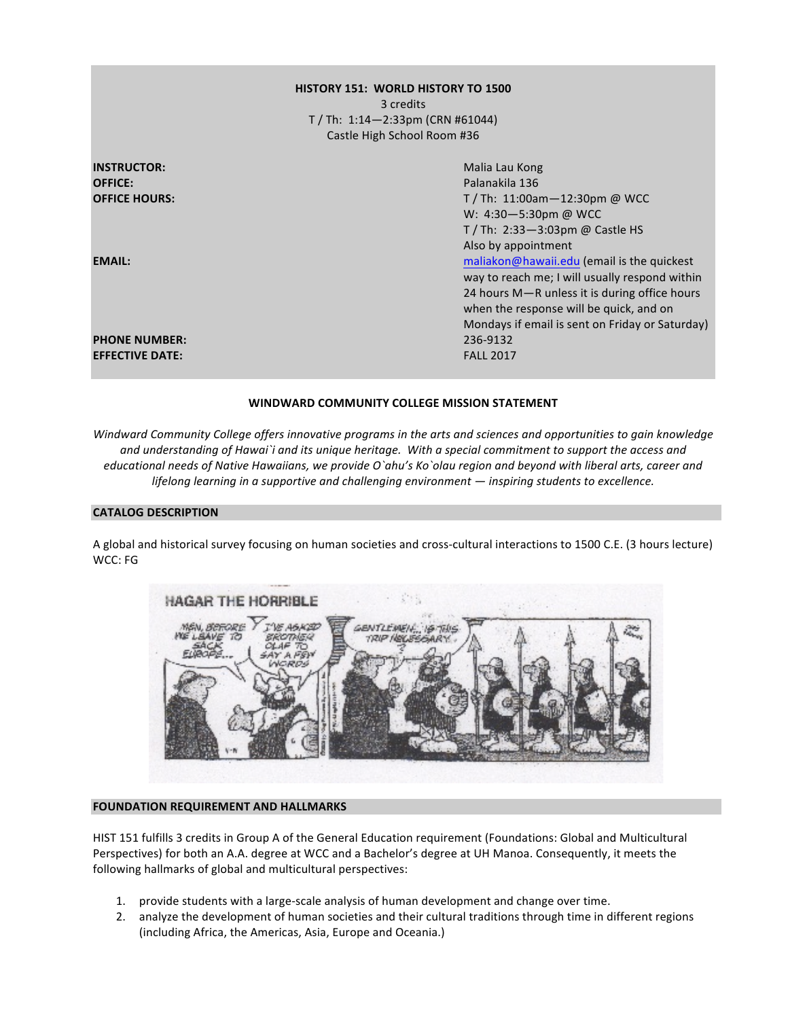## **HISTORY 151: WORLD HISTORY TO 1500** 3 credits T / Th: 1:14—2:33pm (CRN #61044) Castle High School Room #36

| <b>INSTRUCTOR:</b>     | Malia Lau Kong                                  |
|------------------------|-------------------------------------------------|
| <b>OFFICE:</b>         | Palanakila 136                                  |
| <b>OFFICE HOURS:</b>   | T / Th: 11:00am $-$ 12:30pm @ WCC               |
|                        | W: 4:30-5:30pm @ WCC                            |
|                        | T / Th: $2:33-3:03$ pm @ Castle HS              |
|                        | Also by appointment                             |
| <b>EMAIL:</b>          | maliakon@hawaii.edu (email is the quickest      |
|                        | way to reach me; I will usually respond within  |
|                        | 24 hours M-R unless it is during office hours   |
|                        | when the response will be quick, and on         |
|                        | Mondays if email is sent on Friday or Saturday) |
| <b>PHONE NUMBER:</b>   | 236-9132                                        |
| <b>EFFECTIVE DATE:</b> | <b>FALL 2017</b>                                |

#### WINDWARD COMMUNITY COLLEGE MISSION STATEMENT

*Windward Community College offers innovative programs in the arts and sciences and opportunities to gain knowledge* and understanding of Hawai`i and its unique heritage. With a special commitment to support the access and *educational needs of Native Hawaiians, we provide O`ahu's Ko`olau region and beyond with liberal arts, career and lifelong* learning in a supportive and challenging environment — inspiring students to excellence.

#### **CATALOG DESCRIPTION**

A global and historical survey focusing on human societies and cross-cultural interactions to 1500 C.E. (3 hours lecture) WCC: FG



#### **FOUNDATION REQUIREMENT AND HALLMARKS**

HIST 151 fulfills 3 credits in Group A of the General Education requirement (Foundations: Global and Multicultural Perspectives) for both an A.A. degree at WCC and a Bachelor's degree at UH Manoa. Consequently, it meets the following hallmarks of global and multicultural perspectives:

- 1. provide students with a large-scale analysis of human development and change over time.
- 2. analyze the development of human societies and their cultural traditions through time in different regions (including Africa, the Americas, Asia, Europe and Oceania.)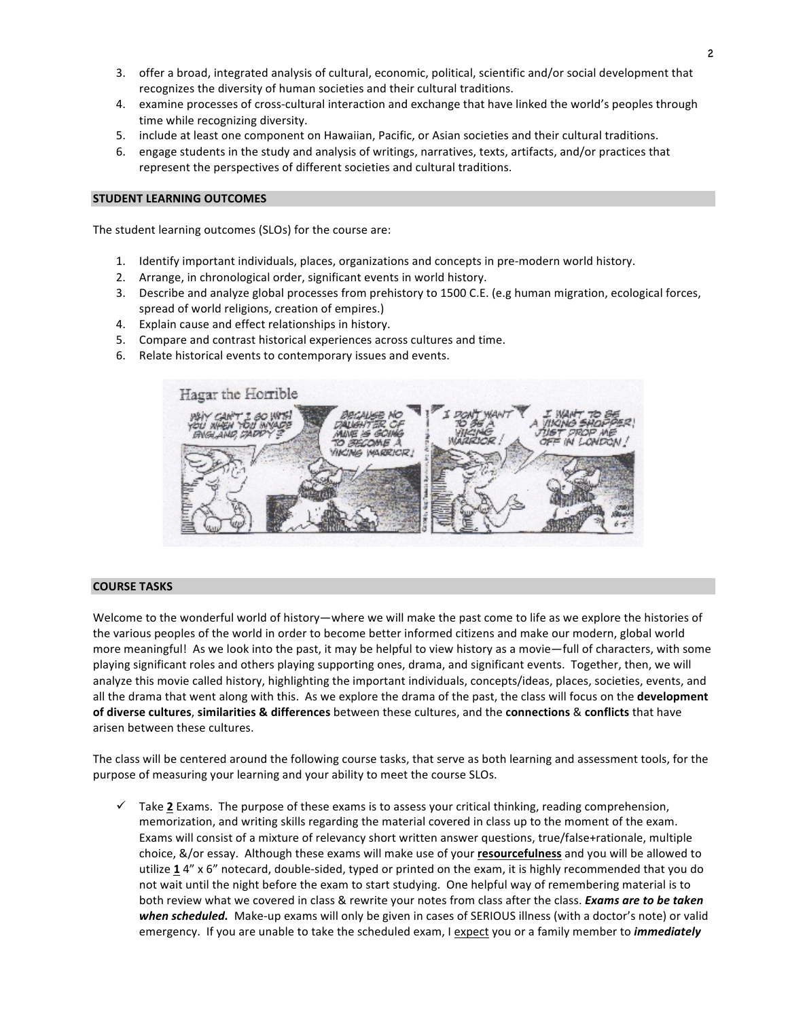- 3. offer a broad, integrated analysis of cultural, economic, political, scientific and/or social development that recognizes the diversity of human societies and their cultural traditions.
- 4. examine processes of cross-cultural interaction and exchange that have linked the world's peoples through time while recognizing diversity.
- 5. include at least one component on Hawaiian, Pacific, or Asian societies and their cultural traditions.
- 6. engage students in the study and analysis of writings, narratives, texts, artifacts, and/or practices that represent the perspectives of different societies and cultural traditions.

#### **STUDENT LEARNING OUTCOMES**

The student learning outcomes (SLOs) for the course are:

- 1. Identify important individuals, places, organizations and concepts in pre-modern world history.
- 2. Arrange, in chronological order, significant events in world history.
- 3. Describe and analyze global processes from prehistory to 1500 C.E. (e.g human migration, ecological forces, spread of world religions, creation of empires.)
- 4. Explain cause and effect relationships in history.
- 5. Compare and contrast historical experiences across cultures and time.
- 6. Relate historical events to contemporary issues and events.



#### **COURSE TASKS**

Welcome to the wonderful world of history—where we will make the past come to life as we explore the histories of the various peoples of the world in order to become better informed citizens and make our modern, global world more meaningful! As we look into the past, it may be helpful to view history as a movie—full of characters, with some playing significant roles and others playing supporting ones, drama, and significant events. Together, then, we will analyze this movie called history, highlighting the important individuals, concepts/ideas, places, societies, events, and all the drama that went along with this. As we explore the drama of the past, the class will focus on the **development of diverse cultures, similarities & differences** between these cultures, and the **connections** & conflicts that have arisen between these cultures.

The class will be centered around the following course tasks, that serve as both learning and assessment tools, for the purpose of measuring your learning and your ability to meet the course SLOs.

 $\checkmark$  Take 2 Exams. The purpose of these exams is to assess your critical thinking, reading comprehension, memorization, and writing skills regarding the material covered in class up to the moment of the exam. Exams will consist of a mixture of relevancy short written answer questions, true/false+rationale, multiple choice, &/or essay. Although these exams will make use of your **resourcefulness** and you will be allowed to utilize 14" x 6" notecard, double-sided, typed or printed on the exam, it is highly recommended that you do not wait until the night before the exam to start studying. One helpful way of remembering material is to both review what we covered in class & rewrite your notes from class after the class. *Exams are to be taken* when scheduled. Make-up exams will only be given in cases of SERIOUS illness (with a doctor's note) or valid emergency. If you are unable to take the scheduled exam, I expect you or a family member to *immediately*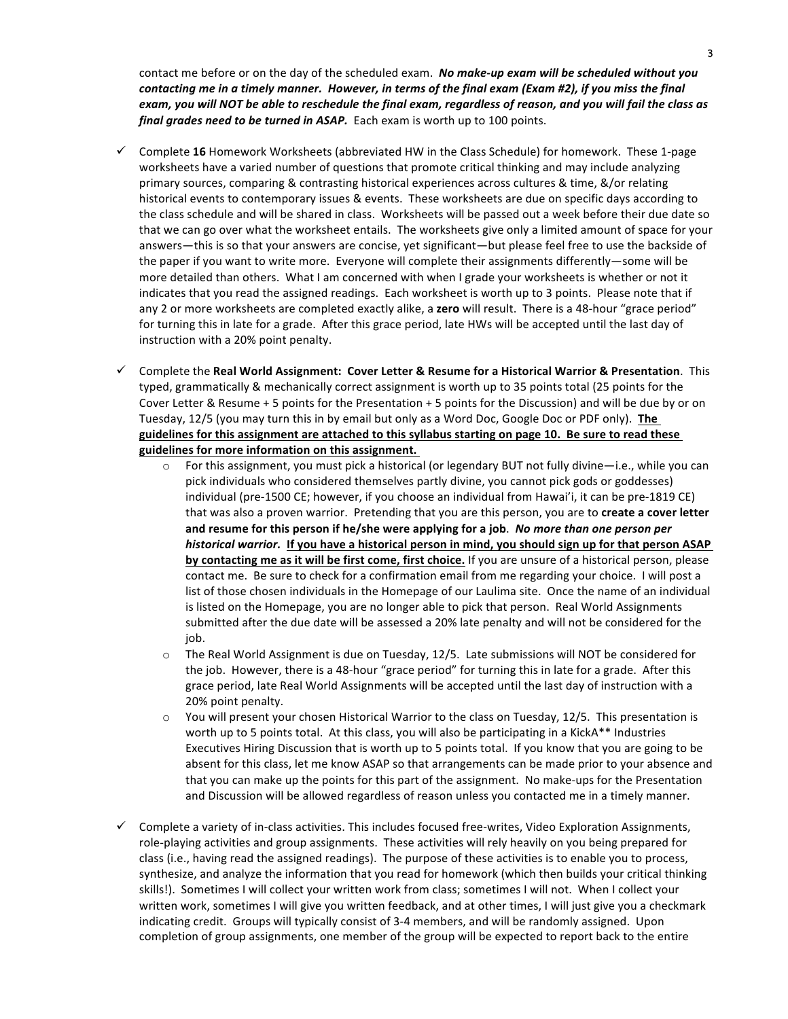contact me before or on the day of the scheduled exam. **No make-up exam will be scheduled without you** *contacting* me in a timely manner. However, in terms of the final exam (Exam #2), if you miss the final exam, you will NOT be able to reschedule the final exam, regardless of reason, and you will fail the class as *final grades need to be turned in ASAP.* Each exam is worth up to 100 points.

- ü Complete **16** Homework Worksheets (abbreviated HW in the Class Schedule) for homework. These 1-page worksheets have a varied number of questions that promote critical thinking and may include analyzing primary sources, comparing & contrasting historical experiences across cultures & time, &/or relating historical events to contemporary issues & events. These worksheets are due on specific days according to the class schedule and will be shared in class. Worksheets will be passed out a week before their due date so that we can go over what the worksheet entails. The worksheets give only a limited amount of space for your answers—this is so that your answers are concise, yet significant—but please feel free to use the backside of the paper if you want to write more. Everyone will complete their assignments differently—some will be more detailed than others. What I am concerned with when I grade your worksheets is whether or not it indicates that you read the assigned readings. Each worksheet is worth up to 3 points. Please note that if any 2 or more worksheets are completed exactly alike, a **zero** will result. There is a 48-hour "grace period" for turning this in late for a grade. After this grace period, late HWs will be accepted until the last day of instruction with a 20% point penalty.
- ü Complete the **Real World Assignment: Cover Letter & Resume for a Historical Warrior & Presentation**. This typed, grammatically & mechanically correct assignment is worth up to 35 points total (25 points for the Cover Letter & Resume + 5 points for the Presentation + 5 points for the Discussion) and will be due by or on Tuesday, 12/5 (you may turn this in by email but only as a Word Doc, Google Doc or PDF only). The guidelines for this assignment are attached to this syllabus starting on page 10. Be sure to read these guidelines for more information on this assignment.
	- $\circ$  For this assignment, you must pick a historical (or legendary BUT not fully divine—i.e., while you can pick individuals who considered themselves partly divine, you cannot pick gods or goddesses) individual (pre-1500 CE; however, if you choose an individual from Hawai'i, it can be pre-1819 CE) that was also a proven warrior. Pretending that you are this person, you are to **create a cover letter** and resume for this person if he/she were applying for a job. No more than one person per *historical warrior.* If you have a historical person in mind, you should sign up for that person ASAP **by contacting me as it will be first come, first choice.** If you are unsure of a historical person, please contact me. Be sure to check for a confirmation email from me regarding your choice. I will post a list of those chosen individuals in the Homepage of our Laulima site. Once the name of an individual is listed on the Homepage, you are no longer able to pick that person. Real World Assignments submitted after the due date will be assessed a 20% late penalty and will not be considered for the job.
	- $\circ$  The Real World Assignment is due on Tuesday, 12/5. Late submissions will NOT be considered for the job. However, there is a 48-hour "grace period" for turning this in late for a grade. After this grace period, late Real World Assignments will be accepted until the last day of instruction with a 20% point penalty.
	- $\circ$  You will present your chosen Historical Warrior to the class on Tuesday, 12/5. This presentation is worth up to 5 points total. At this class, you will also be participating in a KickA\*\* Industries Executives Hiring Discussion that is worth up to 5 points total. If you know that you are going to be absent for this class, let me know ASAP so that arrangements can be made prior to your absence and that you can make up the points for this part of the assignment. No make-ups for the Presentation and Discussion will be allowed regardless of reason unless you contacted me in a timely manner.
- $\checkmark$  Complete a variety of in-class activities. This includes focused free-writes, Video Exploration Assignments, role-playing activities and group assignments. These activities will rely heavily on you being prepared for class (i.e., having read the assigned readings). The purpose of these activities is to enable you to process, synthesize, and analyze the information that you read for homework (which then builds your critical thinking skills!). Sometimes I will collect your written work from class; sometimes I will not. When I collect your written work, sometimes I will give you written feedback, and at other times, I will just give you a checkmark indicating credit. Groups will typically consist of 3-4 members, and will be randomly assigned. Upon completion of group assignments, one member of the group will be expected to report back to the entire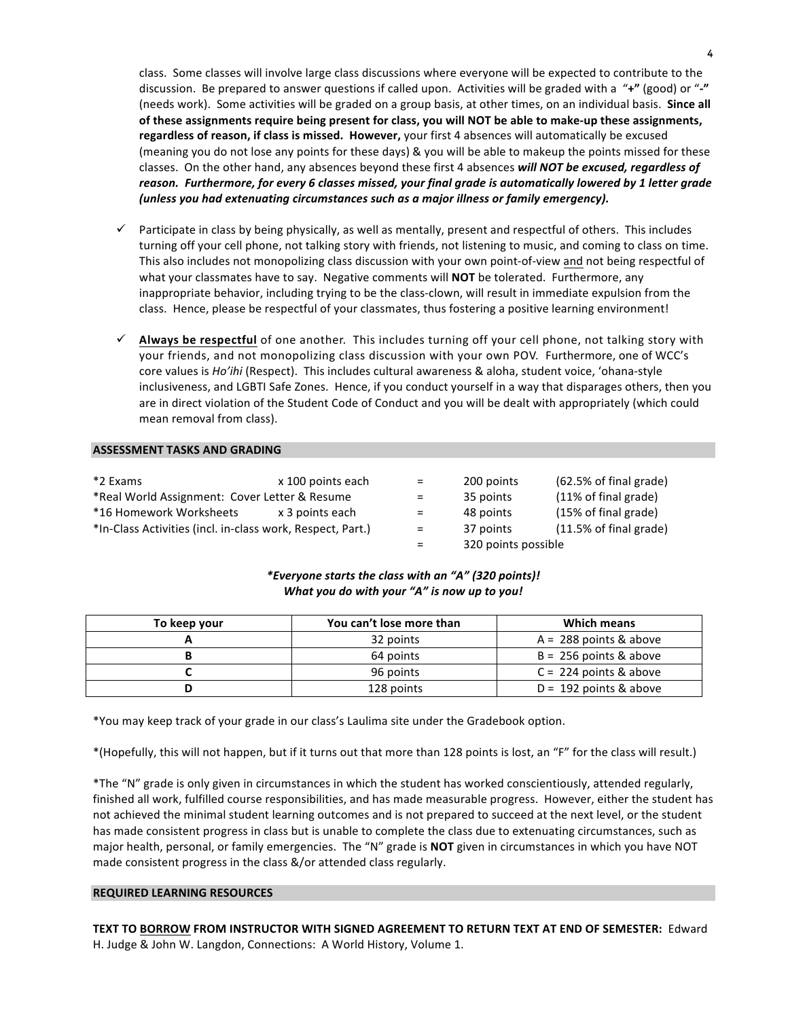class. Some classes will involve large class discussions where everyone will be expected to contribute to the discussion. Be prepared to answer questions if called upon. Activities will be graded with a "+" (good) or "-" (needs work). Some activities will be graded on a group basis, at other times, on an individual basis. Since all of these assignments require being present for class, you will NOT be able to make-up these assignments, regardless of reason, if class is missed. However, your first 4 absences will automatically be excused (meaning you do not lose any points for these days) & you will be able to makeup the points missed for these classes. On the other hand, any absences beyond these first 4 absences will NOT be excused, regardless of reason. Furthermore, for every 6 classes missed, your final grade is automatically lowered by 1 letter grade (unless you had extenuating circumstances such as a major illness or family emergency).

- $\checkmark$  Participate in class by being physically, as well as mentally, present and respectful of others. This includes turning off your cell phone, not talking story with friends, not listening to music, and coming to class on time. This also includes not monopolizing class discussion with your own point-of-view and not being respectful of what your classmates have to say. Negative comments will **NOT** be tolerated. Furthermore, any inappropriate behavior, including trying to be the class-clown, will result in immediate expulsion from the class. Hence, please be respectful of your classmates, thus fostering a positive learning environment!
- $\checkmark$  Always be respectful of one another. This includes turning off your cell phone, not talking story with your friends, and not monopolizing class discussion with your own POV. Furthermore, one of WCC's core values is *Ho'ihi* (Respect). This includes cultural awareness & aloha, student voice, 'ohana-style inclusiveness, and LGBTI Safe Zones. Hence, if you conduct yourself in a way that disparages others, then you are in direct violation of the Student Code of Conduct and you will be dealt with appropriately (which could mean removal from class).

#### **ASSESSMENT TASKS AND GRADING**

| *2 Exams                                                   | x 100 points each | and the set | 200 points | (62.5% of final grade)            |
|------------------------------------------------------------|-------------------|-------------|------------|-----------------------------------|
| *Real World Assignment: Cover Letter & Resume              |                   | $=$         | 35 points  | (11% of final grade)              |
| *16 Homework Worksheets                                    | x 3 points each   | $=$         | 48 points  | (15% of final grade)              |
| *In-Class Activities (incl. in-class work, Respect, Part.) |                   | $=$         | 37 points  | $(11.5\% \text{ of final grade})$ |
|                                                            |                   |             |            |                                   |

| =   | 200 points          | (62.5% of final grade)            |
|-----|---------------------|-----------------------------------|
| =   | 35 points           | (11% of final grade)              |
| $=$ | 48 points           | (15% of final grade)              |
| $=$ | 37 points           | $(11.5\% \text{ of final grade})$ |
| =   | 320 points possible |                                   |

#### *\*Everyone starts the class with an "A" (320 points)! What you do with your "A" is now up to you!*

| To keep your | You can't lose more than | <b>Which means</b>       |
|--------------|--------------------------|--------------------------|
|              | 32 points                | $A = 288$ points & above |
|              | 64 points                | $B = 256$ points & above |
|              | 96 points                | $C = 224$ points & above |
|              | 128 points               | $D = 192$ points & above |

\*You may keep track of your grade in our class's Laulima site under the Gradebook option.

\*(Hopefully, this will not happen, but if it turns out that more than 128 points is lost, an "F" for the class will result.)

\*The "N" grade is only given in circumstances in which the student has worked conscientiously, attended regularly, finished all work, fulfilled course responsibilities, and has made measurable progress. However, either the student has not achieved the minimal student learning outcomes and is not prepared to succeed at the next level, or the student has made consistent progress in class but is unable to complete the class due to extenuating circumstances, such as major health, personal, or family emergencies. The "N" grade is **NOT** given in circumstances in which you have NOT made consistent progress in the class &/or attended class regularly.

#### **REQUIRED LEARNING RESOURCES**

TEXT TO BORROW FROM INSTRUCTOR WITH SIGNED AGREEMENT TO RETURN TEXT AT END OF SEMESTER: Edward H. Judge & John W. Langdon, Connections: A World History, Volume 1.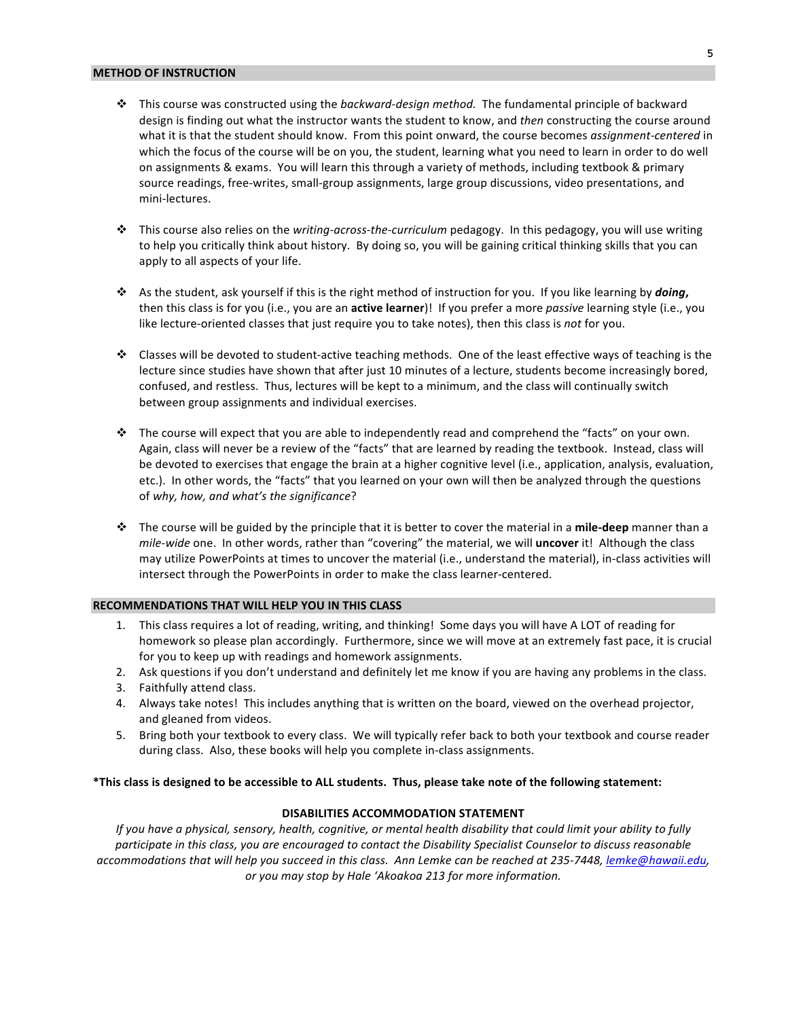#### **METHOD OF INSTRUCTION**

- **❖** This course was constructed using the *backward-design method.* The fundamental principle of backward design is finding out what the instructor wants the student to know, and *then* constructing the course around what it is that the student should know. From this point onward, the course becomes *assignment-centered* in which the focus of the course will be on you, the student, learning what you need to learn in order to do well on assignments & exams. You will learn this through a variety of methods, including textbook & primary source readings, free-writes, small-group assignments, large group discussions, video presentations, and mini-lectures.
- **→** This course also relies on the *writing-across-the-curriculum* pedagogy. In this pedagogy, you will use writing to help you critically think about history. By doing so, you will be gaining critical thinking skills that you can apply to all aspects of your life.
- \* As the student, ask yourself if this is the right method of instruction for you. If you like learning by *doing*, then this class is for you (i.e., you are an **active learner**)! If you prefer a more *passive* learning style (i.e., you like lecture-oriented classes that just require you to take notes), then this class is not for you.
- $\cdot$  Classes will be devoted to student-active teaching methods. One of the least effective ways of teaching is the lecture since studies have shown that after just 10 minutes of a lecture, students become increasingly bored, confused, and restless. Thus, lectures will be kept to a minimum, and the class will continually switch between group assignments and individual exercises.
- $\cdot \cdot$  The course will expect that you are able to independently read and comprehend the "facts" on your own. Again, class will never be a review of the "facts" that are learned by reading the textbook. Instead, class will be devoted to exercises that engage the brain at a higher cognitive level (i.e., application, analysis, evaluation, etc.). In other words, the "facts" that you learned on your own will then be analyzed through the questions of why, how, and what's the significance?
- **→** The course will be guided by the principle that it is better to cover the material in a **mile-deep** manner than a *mile-wide* one. In other words, rather than "covering" the material, we will *uncover* it! Although the class may utilize PowerPoints at times to uncover the material (i.e., understand the material), in-class activities will intersect through the PowerPoints in order to make the class learner-centered.

#### **RECOMMENDATIONS THAT WILL HELP YOU IN THIS CLASS**

- 1. This class requires a lot of reading, writing, and thinking! Some days you will have A LOT of reading for homework so please plan accordingly. Furthermore, since we will move at an extremely fast pace, it is crucial for you to keep up with readings and homework assignments.
- 2. Ask questions if you don't understand and definitely let me know if you are having any problems in the class.
- 3. Faithfully attend class.
- 4. Always take notes! This includes anything that is written on the board, viewed on the overhead projector, and gleaned from videos.
- 5. Bring both your textbook to every class. We will typically refer back to both your textbook and course reader during class. Also, these books will help you complete in-class assignments.

#### **\*This class is designed to be accessible to ALL students. Thus, please take note of the following statement:**

#### **DISABILITIES ACCOMMODATION STATEMENT**

*If* you have a physical, sensory, health, cognitive, or mental health disability that could limit your ability to fully participate in this class, you are encouraged to contact the Disability Specialist Counselor to discuss reasonable accommodations that will help you succeed in this class. Ann Lemke can be reached at 235-7448, lemke@hawaii.edu, or you may stop by Hale 'Akoakoa 213 for more information.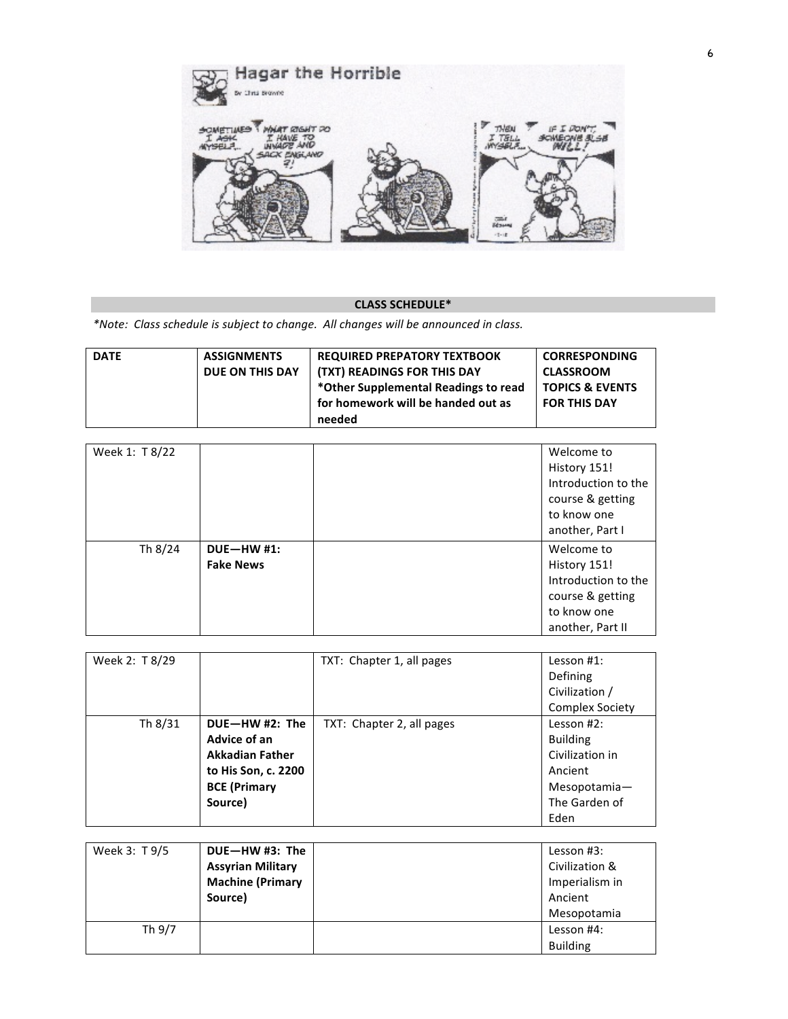

### **CLASS SCHEDULE\***

*\*Note: Class schedule is subject to change. All changes will be announced in class.*

| <b>DATE</b> | <b>ASSIGNMENTS</b> | <b>REQUIRED PREPATORY TEXTBOOK</b>   | <b>CORRESPONDING</b>       |
|-------------|--------------------|--------------------------------------|----------------------------|
|             | DUE ON THIS DAY    | (TXT) READINGS FOR THIS DAY          | <b>CLASSROOM</b>           |
|             |                    | *Other Supplemental Readings to read | <b>TOPICS &amp; EVENTS</b> |
|             |                    | for homework will be handed out as   | <b>FOR THIS DAY</b>        |
|             |                    | needed                               |                            |

| Week 1: T 8/22 |                  | Welcome to          |
|----------------|------------------|---------------------|
|                |                  | History 151!        |
|                |                  | Introduction to the |
|                |                  | course & getting    |
|                |                  | to know one         |
|                |                  | another, Part I     |
| Th 8/24        | $DUE-HW #1:$     | Welcome to          |
|                | <b>Fake News</b> | History 151!        |
|                |                  | Introduction to the |
|                |                  | course & getting    |
|                |                  | to know one         |
|                |                  | another, Part II    |

| Week 2: T 8/29 |                        | TXT: Chapter 1, all pages | Lesson $#1$ :          |
|----------------|------------------------|---------------------------|------------------------|
|                |                        |                           | Defining               |
|                |                        |                           | Civilization /         |
|                |                        |                           | <b>Complex Society</b> |
| Th 8/31        | DUE-HW#2: The          | TXT: Chapter 2, all pages | Lesson $#2$ :          |
|                | Advice of an           |                           | <b>Building</b>        |
|                | <b>Akkadian Father</b> |                           | Civilization in        |
|                | to His Son, c. 2200    |                           | Ancient                |
|                | <b>BCE (Primary</b>    |                           | Mesopotamia-           |
|                | Source)                |                           | The Garden of          |
|                |                        |                           | Eden                   |

| Week 3: T 9/5 | DUE-HW #3: The           | Lesson #3:      |
|---------------|--------------------------|-----------------|
|               | <b>Assyrian Military</b> | Civilization &  |
|               | <b>Machine (Primary</b>  | Imperialism in  |
|               | Source)                  | Ancient         |
|               |                          | Mesopotamia     |
| Th 9/7        |                          | Lesson #4:      |
|               |                          | <b>Building</b> |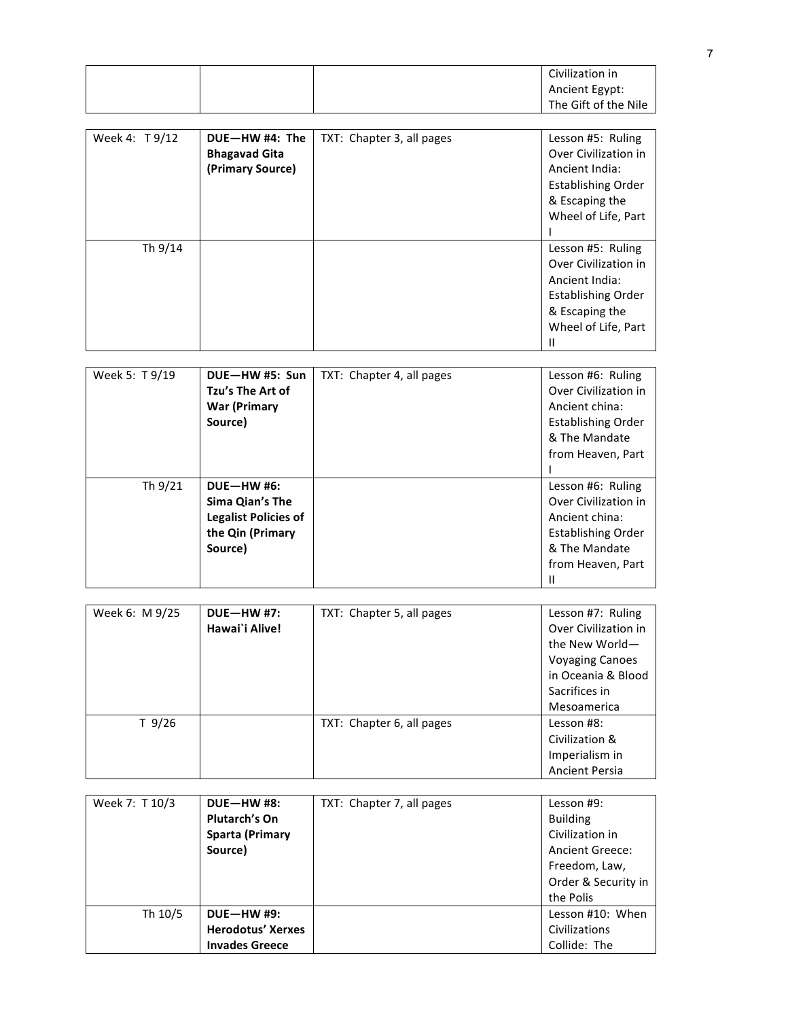|                |                             |                           | Civilization in           |
|----------------|-----------------------------|---------------------------|---------------------------|
|                |                             |                           | <b>Ancient Egypt:</b>     |
|                |                             |                           | The Gift of the Nile      |
|                |                             |                           |                           |
|                | DUE-HW #4: The              |                           |                           |
| Week 4: T9/12  |                             | TXT: Chapter 3, all pages | Lesson #5: Ruling         |
|                | <b>Bhagavad Gita</b>        |                           | Over Civilization in      |
|                | (Primary Source)            |                           | <b>Ancient India:</b>     |
|                |                             |                           | <b>Establishing Order</b> |
|                |                             |                           | & Escaping the            |
|                |                             |                           | Wheel of Life, Part       |
|                |                             |                           |                           |
| Th 9/14        |                             |                           | Lesson #5: Ruling         |
|                |                             |                           | Over Civilization in      |
|                |                             |                           | <b>Ancient India:</b>     |
|                |                             |                           | <b>Establishing Order</b> |
|                |                             |                           | & Escaping the            |
|                |                             |                           | Wheel of Life, Part       |
|                |                             |                           | $\mathbf{II}$             |
|                |                             |                           |                           |
| Week 5: T 9/19 | DUE-HW #5: Sun              | TXT: Chapter 4, all pages | Lesson #6: Ruling         |
|                | Tzu's The Art of            |                           | Over Civilization in      |
|                | <b>War (Primary</b>         |                           | Ancient china:            |
|                | Source)                     |                           | <b>Establishing Order</b> |
|                |                             |                           | & The Mandate             |
|                |                             |                           |                           |
|                |                             |                           | from Heaven, Part         |
|                |                             |                           | ı                         |
| Th 9/21        | <b>DUE-HW#6:</b>            |                           | Lesson #6: Ruling         |
|                | Sima Qian's The             |                           | Over Civilization in      |
|                | <b>Legalist Policies of</b> |                           | Ancient china:            |
|                | the Qin (Primary            |                           | <b>Establishing Order</b> |
|                | Source)                     |                           | & The Mandate             |
|                |                             |                           | from Heaven, Part         |
|                |                             |                           | н                         |
|                |                             |                           |                           |
| Week 6: M 9/25 | <b>DUE-HW#7:</b>            | TXT: Chapter 5, all pages | Lesson #7: Ruling         |
|                | Hawai'i Alive!              |                           | Over Civilization in      |
|                |                             |                           | the New World-            |
|                |                             |                           | <b>Voyaging Canoes</b>    |
|                |                             |                           | in Oceania & Blood        |
|                |                             |                           | Sacrifices in             |
|                |                             |                           | Mesoamerica               |
| $T$ 9/26       |                             | TXT: Chapter 6, all pages | Lesson #8:                |
|                |                             |                           | Civilization &            |
|                |                             |                           | Imperialism in            |
|                |                             |                           | <b>Ancient Persia</b>     |
|                |                             |                           |                           |
| Week 7: T 10/3 | <b>DUE-HW#8:</b>            | TXT: Chapter 7, all pages | Lesson #9:                |
|                | Plutarch's On               |                           | <b>Building</b>           |
|                |                             |                           |                           |

|         | <b>Plutarch's On</b>     | <b>Building</b>        |
|---------|--------------------------|------------------------|
|         | <b>Sparta (Primary</b>   | Civilization in        |
|         | Source)                  | <b>Ancient Greece:</b> |
|         |                          | Freedom, Law,          |
|         |                          | Order & Security in    |
|         |                          | the Polis              |
| Th 10/5 | <b>DUE-HW #9:</b>        | Lesson #10: When       |
|         | <b>Herodotus' Xerxes</b> | Civilizations          |
|         | <b>Invades Greece</b>    | Collide: The           |
|         |                          |                        |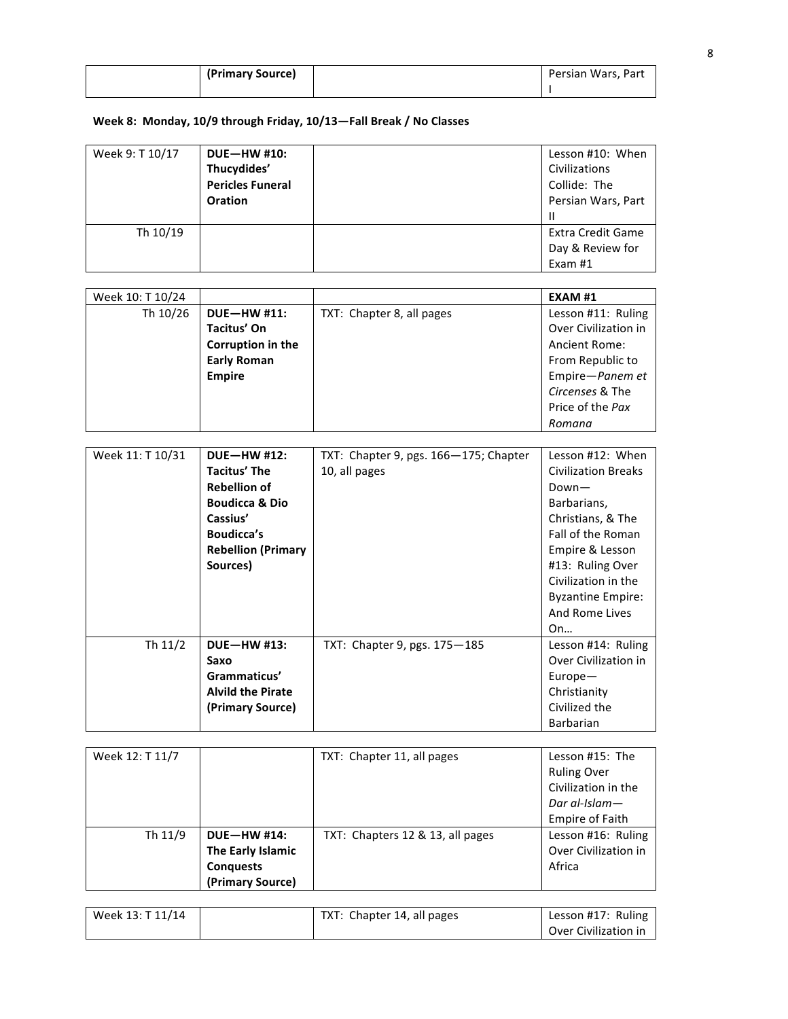| (Primary Source) | Persian Wars, Part |
|------------------|--------------------|
|                  |                    |

# Week 8: Monday, 10/9 through Friday, 10/13-Fall Break / No Classes

| Week 9: T 10/17 | <b>DUE-HW #10:</b><br>Thucydides'<br><b>Pericles Funeral</b><br><b>Oration</b> | Lesson #10: When<br>Civilizations<br>Collide: The<br>Persian Wars, Part<br>Ш |
|-----------------|--------------------------------------------------------------------------------|------------------------------------------------------------------------------|
| Th 10/19        |                                                                                | <b>Extra Credit Game</b><br>Day & Review for<br>Exam $#1$                    |

| Week 10: T 10/24 |                          |                           | EXAM #1              |
|------------------|--------------------------|---------------------------|----------------------|
| Th 10/26         | <b>DUE-HW #11:</b>       | TXT: Chapter 8, all pages | Lesson #11: Ruling   |
|                  | <b>Tacitus' On</b>       |                           | Over Civilization in |
|                  | <b>Corruption in the</b> |                           | Ancient Rome:        |
|                  | <b>Early Roman</b>       |                           | From Republic to     |
|                  | <b>Empire</b>            |                           | Empire-Panem et      |
|                  |                          |                           | Circenses & The      |
|                  |                          |                           | Price of the Pax     |
|                  |                          |                           | Romana               |

| Week 11: T 10/31 | <b>DUE-HW #12:</b>        | TXT: Chapter 9, pgs. 166-175; Chapter | Lesson #12: When           |
|------------------|---------------------------|---------------------------------------|----------------------------|
|                  | <b>Tacitus' The</b>       | 10, all pages                         | <b>Civilization Breaks</b> |
|                  | <b>Rebellion of</b>       |                                       | $Down-$                    |
|                  | <b>Boudicca &amp; Dio</b> |                                       | Barbarians,                |
|                  | Cassius'                  |                                       | Christians, & The          |
|                  | <b>Boudicca's</b>         |                                       | Fall of the Roman          |
|                  | <b>Rebellion (Primary</b> |                                       | Empire & Lesson            |
|                  | Sources)                  |                                       | #13: Ruling Over           |
|                  |                           |                                       | Civilization in the        |
|                  |                           |                                       | <b>Byzantine Empire:</b>   |
|                  |                           |                                       | And Rome Lives             |
|                  |                           |                                       | On                         |
| Th 11/2          | <b>DUE-HW #13:</b>        | TXT: Chapter 9, pgs. $175 - 185$      | Lesson #14: Ruling         |
|                  | Saxo                      |                                       | Over Civilization in       |
|                  | Grammaticus'              |                                       | $Europe-$                  |
|                  | <b>Alvild the Pirate</b>  |                                       | Christianity               |
|                  | (Primary Source)          |                                       | Civilized the              |
|                  |                           |                                       | <b>Barbarian</b>           |

| Week 12: T 11/7 |                   | TXT: Chapter 11, all pages       | Lesson #15: The        |
|-----------------|-------------------|----------------------------------|------------------------|
|                 |                   |                                  | <b>Ruling Over</b>     |
|                 |                   |                                  | Civilization in the    |
|                 |                   |                                  | Dar al-Islam $-$       |
|                 |                   |                                  | <b>Empire of Faith</b> |
| Th 11/9         | $DUE-HW #14:$     | TXT: Chapters 12 & 13, all pages | Lesson #16: Ruling     |
|                 | The Early Islamic |                                  | Over Civilization in   |
|                 | <b>Conquests</b>  |                                  | Africa                 |
|                 | (Primary Source)  |                                  |                        |

| Week 13: T 11/14 | TXT: Chapter 14, all pages | Lesson #17: Ruling   |
|------------------|----------------------------|----------------------|
|                  |                            | Over Civilization in |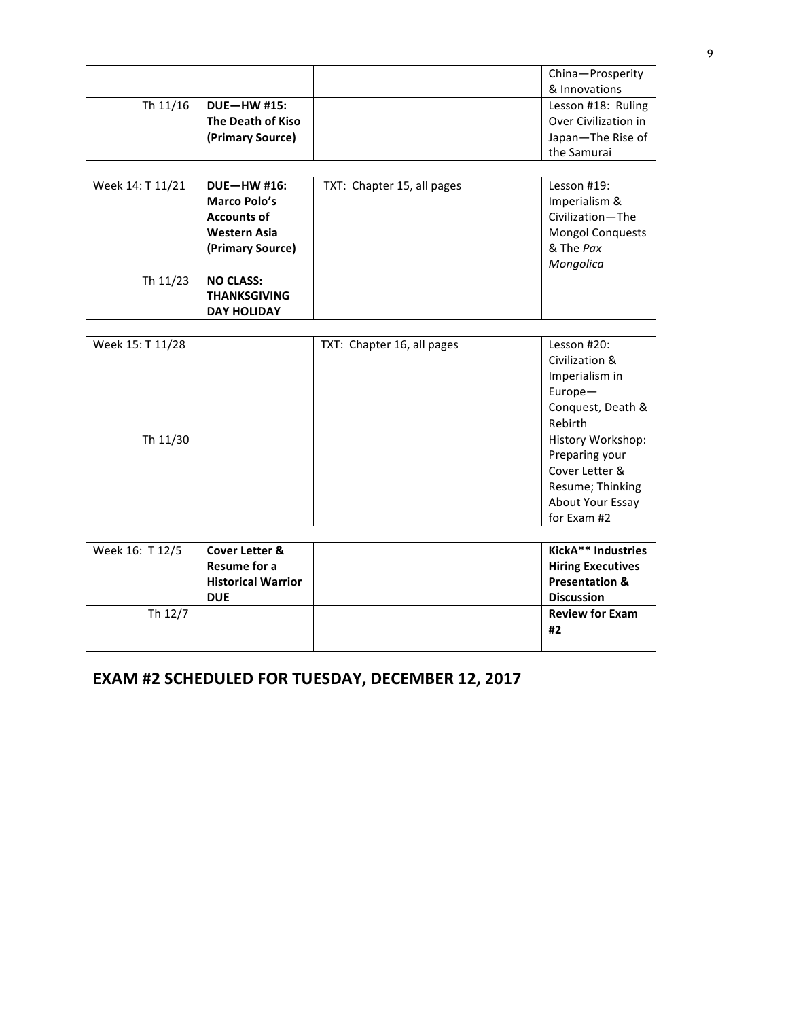|          |                    | China-Prosperity     |
|----------|--------------------|----------------------|
|          |                    | & Innovations        |
| Th 11/16 | <b>DUE-HW #15:</b> | Lesson #18: Ruling   |
|          | The Death of Kiso  | Over Civilization in |
|          | (Primary Source)   | Japan-The Rise of    |
|          |                    | the Samurai          |

| Week 14: T 11/21 | <b>DUE-HW #16:</b>  | TXT: Chapter 15, all pages | Lesson $#19:$           |
|------------------|---------------------|----------------------------|-------------------------|
|                  | <b>Marco Polo's</b> |                            | Imperialism &           |
|                  | <b>Accounts of</b>  |                            | Civilization-The        |
|                  | <b>Western Asia</b> |                            | <b>Mongol Conquests</b> |
|                  | (Primary Source)    |                            | & The Pax               |
|                  |                     |                            | Mongolica               |
| Th 11/23         | <b>NO CLASS:</b>    |                            |                         |
|                  | <b>THANKSGIVING</b> |                            |                         |
|                  | <b>DAY HOLIDAY</b>  |                            |                         |

| Week 15: T 11/28 | TXT: Chapter 16, all pages | Lesson #20:       |
|------------------|----------------------------|-------------------|
|                  |                            | Civilization &    |
|                  |                            | Imperialism in    |
|                  |                            | Europe-           |
|                  |                            | Conquest, Death & |
|                  |                            | Rebirth           |
| Th 11/30         |                            | History Workshop: |
|                  |                            | Preparing your    |
|                  |                            | Cover Letter &    |
|                  |                            | Resume; Thinking  |
|                  |                            | About Your Essay  |
|                  |                            | for Exam #2       |
|                  |                            |                   |

| Week 16: T 12/5 | <b>Cover Letter &amp;</b> | KickA** Industries        |
|-----------------|---------------------------|---------------------------|
|                 | Resume for a              | <b>Hiring Executives</b>  |
|                 | <b>Historical Warrior</b> | <b>Presentation &amp;</b> |
|                 | <b>DUE</b>                | <b>Discussion</b>         |
| Th 12/7         |                           | <b>Review for Exam</b>    |
|                 |                           | #2                        |
|                 |                           |                           |

# **EXAM #2 SCHEDULED FOR TUESDAY, DECEMBER 12, 2017**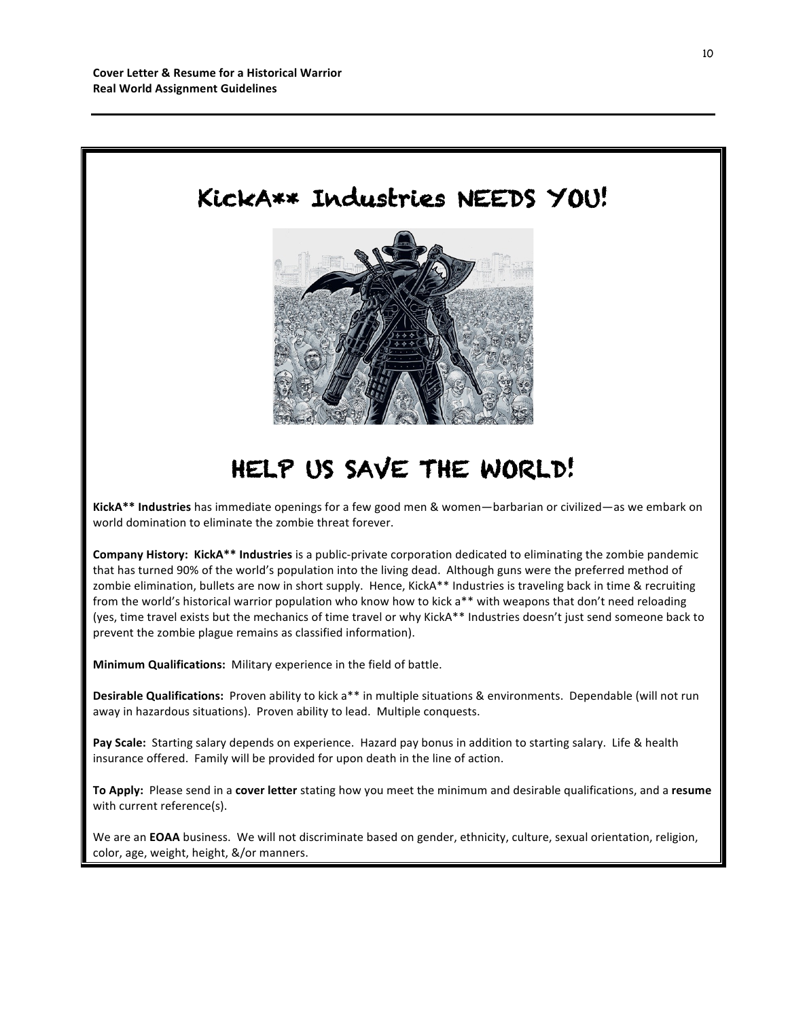

# HELP US SAVE THE WORLD!

KickA\*\* Industries has immediate openings for a few good men & women—barbarian or civilized—as we embark on world domination to eliminate the zombie threat forever.

**Company History: KickA\*\* Industries** is a public-private corporation dedicated to eliminating the zombie pandemic that has turned 90% of the world's population into the living dead. Although guns were the preferred method of zombie elimination, bullets are now in short supply. Hence, KickA\*\* Industries is traveling back in time & recruiting from the world's historical warrior population who know how to kick a\*\* with weapons that don't need reloading (yes, time travel exists but the mechanics of time travel or why KickA\*\* Industries doesn't just send someone back to prevent the zombie plague remains as classified information).

**Minimum Qualifications:** Military experience in the field of battle.

**Desirable Qualifications:** Proven ability to kick a<sup>\*\*</sup> in multiple situations & environments. Dependable (will not run away in hazardous situations). Proven ability to lead. Multiple conquests.

Pay Scale: Starting salary depends on experience. Hazard pay bonus in addition to starting salary. Life & health insurance offered. Family will be provided for upon death in the line of action.

To Apply: Please send in a cover letter stating how you meet the minimum and desirable qualifications, and a resume with current reference(s).

We are an **EOAA** business. We will not discriminate based on gender, ethnicity, culture, sexual orientation, religion, color, age, weight, height, &/or manners.